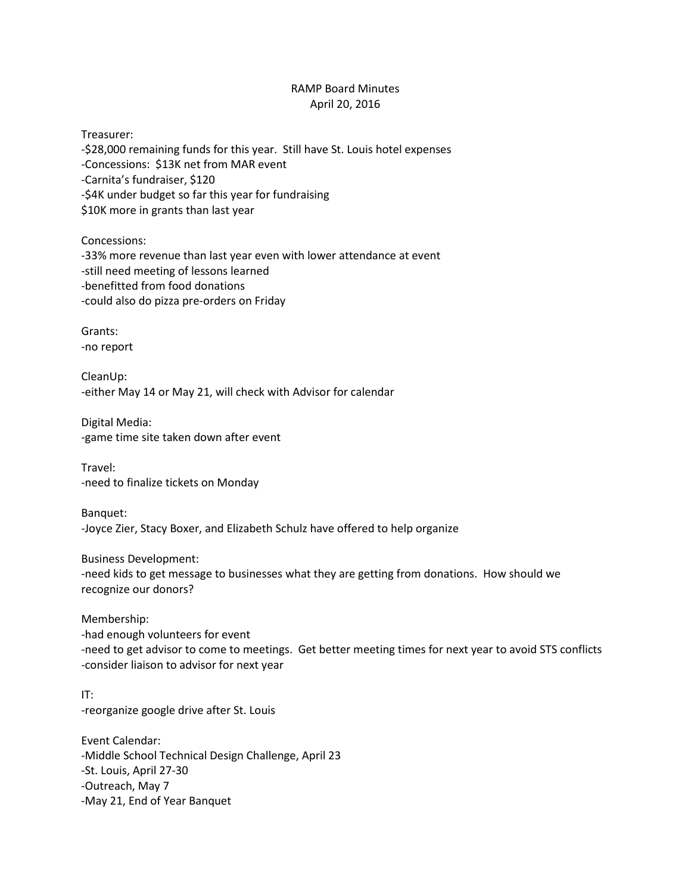## RAMP Board Minutes April 20, 2016

Treasurer: -\$28,000 remaining funds for this year. Still have St. Louis hotel expenses -Concessions: \$13K net from MAR event -Carnita's fundraiser, \$120 -\$4K under budget so far this year for fundraising \$10K more in grants than last year

Concessions: -33% more revenue than last year even with lower attendance at event -still need meeting of lessons learned -benefitted from food donations -could also do pizza pre-orders on Friday

Grants: -no report

CleanUp: -either May 14 or May 21, will check with Advisor for calendar

Digital Media: -game time site taken down after event

Travel: -need to finalize tickets on Monday

Banquet: -Joyce Zier, Stacy Boxer, and Elizabeth Schulz have offered to help organize

Business Development: -need kids to get message to businesses what they are getting from donations. How should we recognize our donors?

Membership:

-had enough volunteers for event -need to get advisor to come to meetings. Get better meeting times for next year to avoid STS conflicts -consider liaison to advisor for next year

## IT:

-reorganize google drive after St. Louis

Event Calendar: -Middle School Technical Design Challenge, April 23 -St. Louis, April 27-30 -Outreach, May 7 -May 21, End of Year Banquet